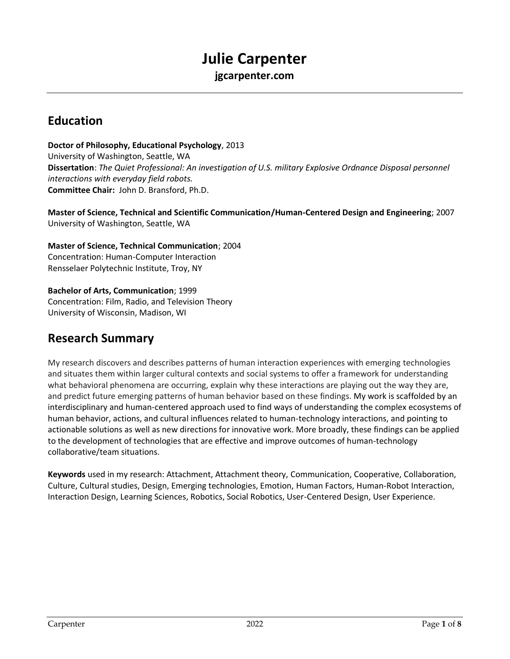# **Julie Carpenter**

**jgcarpenter.com**

## **Education**

**Doctor of Philosophy, Educational Psychology**, 2013 University of Washington, Seattle, WA **Dissertation**: *The Quiet Professional: An investigation of U.S. military Explosive Ordnance Disposal personnel interactions with everyday field robots.*  **Committee Chair:** John D. Bransford, Ph.D.

**Master of Science, Technical and Scientific Communication/Human-Centered Design and Engineering**; 2007 University of Washington, Seattle, WA

**Master of Science, Technical Communication**; 2004 Concentration: Human-Computer Interaction Rensselaer Polytechnic Institute, Troy, NY

**Bachelor of Arts, Communication**; 1999 Concentration: Film, Radio, and Television Theory University of Wisconsin, Madison, WI

## **Research Summary**

My research discovers and describes patterns of human interaction experiences with emerging technologies and situates them within larger cultural contexts and social systems to offer a framework for understanding what behavioral phenomena are occurring, explain why these interactions are playing out the way they are, and predict future emerging patterns of human behavior based on these findings. My work is scaffolded by an interdisciplinary and human-centered approach used to find ways of understanding the complex ecosystems of human behavior, actions, and cultural influences related to human-technology interactions, and pointing to actionable solutions as well as new directions for innovative work. More broadly, these findings can be applied to the development of technologies that are effective and improve outcomes of human-technology collaborative/team situations.

**Keywords** used in my research: Attachment, Attachment theory, Communication, Cooperative, Collaboration, Culture, Cultural studies, Design, Emerging technologies, Emotion, Human Factors, Human-Robot Interaction, Interaction Design, Learning Sciences, Robotics, Social Robotics, User-Centered Design, User Experience.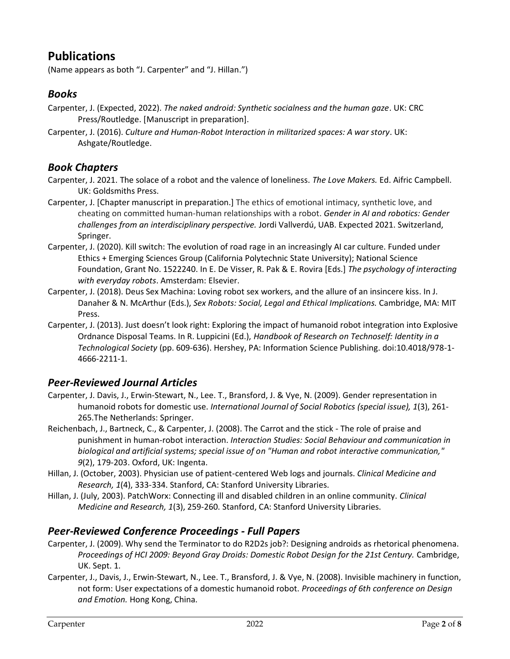## **Publications**

(Name appears as both "J. Carpenter" and "J. Hillan.")

### *Books*

- Carpenter, J. (Expected, 2022). *The naked android: Synthetic socialness and the human gaze*. UK: CRC Press/Routledge. [Manuscript in preparation].
- Carpenter, J. (2016). *Culture and Human-Robot Interaction in militarized spaces: A war story*. UK: Ashgate/Routledge.

### *Book Chapters*

- Carpenter, J. 2021. The solace of a robot and the valence of loneliness. *The Love Makers.* Ed. Aifric Campbell. UK: Goldsmiths Press.
- Carpenter, J. [Chapter manuscript in preparation.] The ethics of emotional intimacy, synthetic love, and cheating on committed human-human relationships with a robot. *Gender in AI and robotics: Gender challenges from an interdisciplinary perspective.* Jordi Vallverdú, UAB. Expected 2021. Switzerland, Springer.
- Carpenter, J. (2020). Kill switch: The evolution of road rage in an increasingly AI car culture. Funded under Ethics + Emerging Sciences Group (California Polytechnic State University); National Science Foundation, Grant No. 1522240. In E. De Visser, R. Pak & E. Rovira [Eds.] *The psychology of interacting with everyday robots*. Amsterdam: Elsevier.
- Carpenter, J. (2018). Deus Sex Machina: Loving robot sex workers, and the allure of an insincere kiss. In J. Danaher & N. McArthur (Eds.), *Sex Robots: Social, Legal and Ethical Implications.* Cambridge, MA: MIT Press.
- Carpenter, J. (2013). Just doesn't look right: Exploring the impact of humanoid robot integration into Explosive Ordnance Disposal Teams. In R. Luppicini (Ed.), *Handbook of Research on Technoself: Identity in a Technological Society* (pp. 609-636). Hershey, PA: Information Science Publishing. doi:10.4018/978-1- 4666-2211-1.

### *Peer-Reviewed Journal Articles*

- Carpenter, J. Davis, J., Erwin-Stewart, N., Lee. T., Bransford, J. & Vye, N. (2009). Gender representation in humanoid robots for domestic use. *International Journal of Social Robotics (special issue), 1*(3), 261- 265.The Netherlands: Springer.
- Reichenbach, J., Bartneck, C., & Carpenter, J. (2008). The Carrot and the stick The role of praise and punishment in human-robot interaction. *Interaction Studies: Social Behaviour and communication in biological and artificial systems; special issue of on "Human and robot interactive communication," 9*(2), 179-203. Oxford, UK: Ingenta.
- Hillan, J. (October, 2003). Physician use of patient-centered Web logs and journals. *Clinical Medicine and Research, 1*(4), 333-334. Stanford, CA: Stanford University Libraries.
- Hillan, J. (July, 2003). PatchWorx: Connecting ill and disabled children in an online community. *Clinical Medicine and Research, 1*(3), 259-260. Stanford, CA: Stanford University Libraries.

### *Peer-Reviewed Conference Proceedings - Full Papers*

- Carpenter, J. (2009). Why send the Terminator to do R2D2s job?: Designing androids as rhetorical phenomena. *Proceedings of HCI 2009: Beyond Gray Droids: Domestic Robot Design for the 21st Century.* Cambridge, UK. Sept. 1.
- Carpenter, J., Davis, J., Erwin-Stewart, N., Lee. T., Bransford, J. & Vye, N. (2008). Invisible machinery in function, not form: User expectations of a domestic humanoid robot. *Proceedings of 6th conference on Design and Emotion.* Hong Kong, China.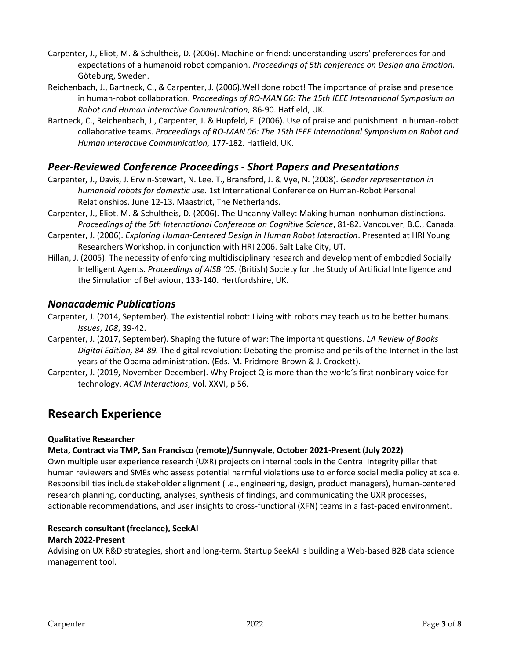- Carpenter, J., Eliot, M. & Schultheis, D. (2006). Machine or friend: understanding users' preferences for and expectations of a humanoid robot companion. *Proceedings of 5th conference on Design and Emotion.*  Göteburg, Sweden.
- Reichenbach, J., Bartneck, C., & Carpenter, J. (2006).Well done robot! The importance of praise and presence in human-robot collaboration. *Proceedings of RO-MAN 06: The 15th IEEE International Symposium on Robot and Human Interactive Communication,* 86-90. Hatfield, UK.
- Bartneck, C., Reichenbach, J., Carpenter, J. & Hupfeld, F. (2006). Use of praise and punishment in human-robot collaborative teams. *Proceedings of RO-MAN 06: The 15th IEEE International Symposium on Robot and Human Interactive Communication,* 177-182. Hatfield, UK.

### *Peer-Reviewed Conference Proceedings - Short Papers and Presentations*

- Carpenter, J., Davis, J. Erwin-Stewart, N. Lee. T., Bransford, J. & Vye, N. (2008). *Gender representation in humanoid robots for domestic use.* 1st International Conference on Human-Robot Personal Relationships. June 12-13. Maastrict, The Netherlands.
- Carpenter, J., Eliot, M. & Schultheis, D. (2006). The Uncanny Valley: Making human-nonhuman distinctions. *Proceedings of the 5th International Conference on Cognitive Science*, 81-82. Vancouver, B.C., Canada.
- Carpenter, J. (2006). *Exploring Human-Centered Design in Human Robot Interaction*. Presented at HRI Young Researchers Workshop, in conjunction with HRI 2006. Salt Lake City, UT.
- Hillan, J. (2005). The necessity of enforcing multidisciplinary research and development of embodied Socially Intelligent Agents. *Proceedings of AISB '05.* (British) Society for the Study of Artificial Intelligence and the Simulation of Behaviour, 133-140. Hertfordshire, UK.

### *Nonacademic Publications*

Carpenter, J. (2014, September). The existential robot: Living with robots may teach us to be better humans. *Issues*, *108*, 39-42.

- Carpenter, J. (2017, September). Shaping the future of war: The important questions. *LA Review of Books Digital Edition, 84-89.* The digital revolution: Debating the promise and perils of the Internet in the last years of the Obama administration. (Eds. M. Pridmore-Brown & J. Crockett).
- Carpenter, J. (2019, November-December). Why Project Q is more than the world's first nonbinary voice for technology. *ACM Interactions*, Vol. XXVI, p 56.

## **Research Experience**

### **Qualitative Researcher**

### **Meta, Contract via TMP, San Francisco (remote)/Sunnyvale, October 2021-Present (July 2022)**

Own multiple user experience research (UXR) projects on internal tools in the Central Integrity pillar that human reviewers and SMEs who assess potential harmful violations use to enforce social media policy at scale. Responsibilities include stakeholder alignment (i.e., engineering, design, product managers), human-centered research planning, conducting, analyses, synthesis of findings, and communicating the UXR processes, actionable recommendations, and user insights to cross-functional (XFN) teams in a fast-paced environment.

### **Research consultant (freelance), SeekAI**

### **March 2022-Present**

Advising on UX R&D strategies, short and long-term. Startup SeekAI is building a Web-based B2B data science management tool.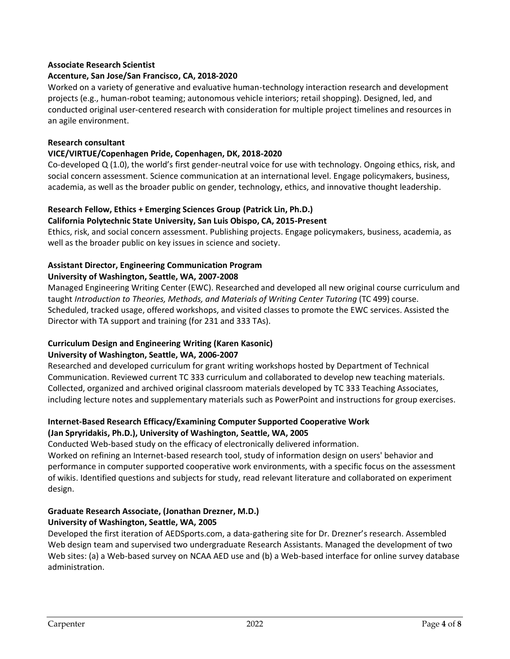### **Associate Research Scientist**

### **Accenture, San Jose/San Francisco, CA, 2018-2020**

Worked on a variety of generative and evaluative human-technology interaction research and development projects (e.g., human-robot teaming; autonomous vehicle interiors; retail shopping). Designed, led, and conducted original user-centered research with consideration for multiple project timelines and resources in an agile environment.

### **Research consultant**

### **VICE/VIRTUE/Copenhagen Pride, Copenhagen, DK, 2018-2020**

Co-developed Q (1.0), the world's first gender-neutral voice for use with technology. Ongoing ethics, risk, and social concern assessment. Science communication at an international level. Engage policymakers, business, academia, as well as the broader public on gender, technology, ethics, and innovative thought leadership.

### **Research Fellow, Ethics + Emerging Sciences Group (Patrick Lin, Ph.D.)**

#### **California Polytechnic State University, San Luis Obispo, CA, 2015-Present**

Ethics, risk, and social concern assessment. Publishing projects. Engage policymakers, business, academia, as well as the broader public on key issues in science and society.

## **Assistant Director, Engineering Communication Program**

### **University of Washington, Seattle, WA, 2007-2008**

Managed Engineering Writing Center (EWC). Researched and developed all new original course curriculum and taught *Introduction to Theories, Methods, and Materials of Writing Center Tutoring* (TC 499) course. Scheduled, tracked usage, offered workshops, and visited classes to promote the EWC services. Assisted the Director with TA support and training (for 231 and 333 TAs).

### **Curriculum Design and Engineering Writing (Karen Kasonic)**

### **University of Washington, Seattle, WA, 2006-2007**

Researched and developed curriculum for grant writing workshops hosted by Department of Technical Communication. Reviewed current TC 333 curriculum and collaborated to develop new teaching materials. Collected, organized and archived original classroom materials developed by TC 333 Teaching Associates, including lecture notes and supplementary materials such as PowerPoint and instructions for group exercises.

### **Internet-Based Research Efficacy/Examining Computer Supported Cooperative Work (Jan Spryridakis, Ph.D.), University of Washington, Seattle, WA, 2005**

Conducted Web-based study on the efficacy of electronically delivered information.

Worked on refining an Internet-based research tool, study of information design on users' behavior and performance in computer supported cooperative work environments, with a specific focus on the assessment of wikis. Identified questions and subjects for study, read relevant literature and collaborated on experiment design.

#### **Graduate Research Associate, (Jonathan Drezner, M.D.) University of Washington, Seattle, WA, 2005**

Developed the first iteration of AEDSports.com, a data-gathering site for Dr. Drezner's research. Assembled Web design team and supervised two undergraduate Research Assistants. Managed the development of two Web sites: (a) a Web-based survey on NCAA AED use and (b) a Web-based interface for online survey database administration.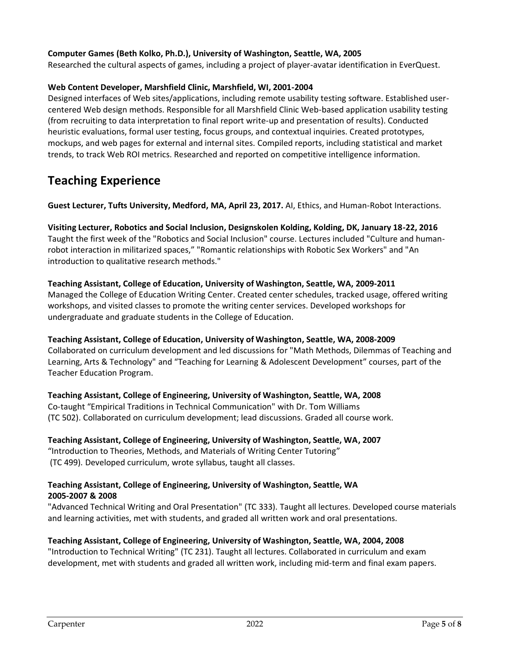### **Computer Games (Beth Kolko, Ph.D.), University of Washington, Seattle, WA, 2005**

Researched the cultural aspects of games, including a project of player-avatar identification in EverQuest.

### **Web Content Developer, Marshfield Clinic, Marshfield, WI, 2001-2004**

Designed interfaces of Web sites/applications, including remote usability testing software. Established usercentered Web design methods. Responsible for all Marshfield Clinic Web-based application usability testing (from recruiting to data interpretation to final report write-up and presentation of results). Conducted heuristic evaluations, formal user testing, focus groups, and contextual inquiries. Created prototypes, mockups, and web pages for external and internal sites. Compiled reports, including statistical and market trends, to track Web ROI metrics. Researched and reported on competitive intelligence information.

### **Teaching Experience**

**Guest Lecturer, Tufts University, Medford, MA, April 23, 2017.** AI, Ethics, and Human-Robot Interactions.

### **Visiting Lecturer, Robotics and Social Inclusion, Designskolen Kolding, Kolding, DK, January 18-22, 2016** Taught the first week of the "Robotics and Social Inclusion" course. Lectures included "Culture and humanrobot interaction in militarized spaces," "Romantic relationships with Robotic Sex Workers" and "An introduction to qualitative research methods."

#### **Teaching Assistant, College of Education, University of Washington, Seattle, WA, 2009-2011**

Managed the College of Education Writing Center. Created center schedules, tracked usage, offered writing workshops, and visited classes to promote the writing center services. Developed workshops for undergraduate and graduate students in the College of Education.

#### **Teaching Assistant, College of Education, University of Washington, Seattle, WA, 2008-2009** Collaborated on curriculum development and led discussions for "Math Methods, Dilemmas of Teaching and Learning, Arts & Technology" and "Teaching for Learning & Adolescent Development" courses, part of the Teacher Education Program.

**Teaching Assistant, College of Engineering, University of Washington, Seattle, WA, 2008** Co-taught "Empirical Traditions in Technical Communication" with Dr. Tom Williams (TC 502). Collaborated on curriculum development; lead discussions. Graded all course work.

### **Teaching Assistant, College of Engineering, University of Washington, Seattle, WA, 2007** "Introduction to Theories, Methods, and Materials of Writing Center Tutoring" (TC 499). Developed curriculum, wrote syllabus, taught all classes.

#### **Teaching Assistant, College of Engineering, University of Washington, Seattle, WA 2005-2007 & 2008**

"Advanced Technical Writing and Oral Presentation" (TC 333). Taught all lectures. Developed course materials and learning activities, met with students, and graded all written work and oral presentations.

### **Teaching Assistant, College of Engineering, University of Washington, Seattle, WA, 2004, 2008**

"Introduction to Technical Writing" (TC 231). Taught all lectures. Collaborated in curriculum and exam development, met with students and graded all written work, including mid-term and final exam papers.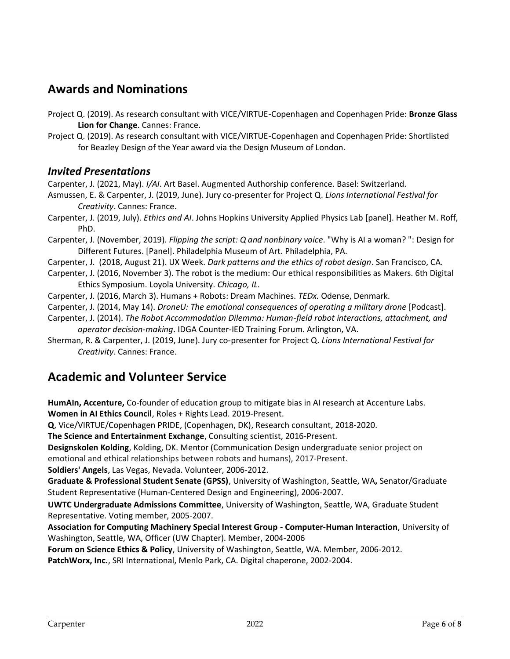## **Awards and Nominations**

- Project Q. (2019). As research consultant with VICE/VIRTUE-Copenhagen and Copenhagen Pride: **Bronze Glass Lion for Change**. Cannes: France.
- Project Q. (2019). As research consultant with VICE/VIRTUE-Copenhagen and Copenhagen Pride: Shortlisted for Beazley Design of the Year award via the Design Museum of London.

### *Invited Presentations*

Carpenter, J. (2021, May). *I/AI*. Art Basel. Augmented Authorship conference. Basel: Switzerland.

- Asmussen, E. & Carpenter, J. (2019, June). Jury co-presenter for Project Q. *Lions International Festival for Creativity*. Cannes: France.
- Carpenter, J. (2019, July). *Ethics and AI*. Johns Hopkins University Applied Physics Lab [panel]. Heather M. Roff, PhD.
- Carpenter, J. (November, 2019). *Flipping the script: Q and nonbinary voice*. "Why is AI a woman? ": Design for Different Futures. [Panel]. Philadelphia Museum of Art. Philadelphia, PA.
- Carpenter, J. (2018, August 21). UX Week. *Dark patterns and the ethics of robot design*. San Francisco, CA.
- Carpenter, J. (2016, November 3). The robot is the medium: Our ethical responsibilities as Makers. 6th Digital Ethics Symposium. Loyola University. *Chicago, IL.*
- Carpenter, J. (2016, March 3). Humans + Robots: Dream Machines. *TEDx.* Odense, Denmark.
- Carpenter, J. (2014, May 14). *DroneU: The emotional consequences of operating a military drone* [Podcast].
- Carpenter, J. (2014). *The Robot Accommodation Dilemma: Human-field robot interactions, attachment, and operator decision-making*. IDGA Counter-IED Training Forum. Arlington, VA.
- Sherman, R. & Carpenter, J. (2019, June). Jury co-presenter for Project Q. *Lions International Festival for Creativity*. Cannes: France.

## **Academic and Volunteer Service**

**HumAIn, Accenture,** Co-founder of education group to mitigate bias in AI research at Accenture Labs. **Women in AI Ethics Council**, Roles + Rights Lead. 2019-Present.

**Q**, Vice/VIRTUE/Copenhagen PRIDE, (Copenhagen, DK), Research consultant, 2018-2020.

**The Science and Entertainment Exchange**, Consulting scientist, 2016-Present.

**Designskolen Kolding**, Kolding, DK. Mentor (Communication Design undergraduate senior project on emotional and ethical relationships between robots and humans), 2017-Present.

**Soldiers' Angels**, Las Vegas, Nevada. Volunteer, 2006-2012.

**Graduate & Professional Student Senate (GPSS)**, University of Washington, Seattle, WA**,** Senator/Graduate Student Representative (Human-Centered Design and Engineering), 2006-2007.

**UWTC Undergraduate Admissions Committee**, University of Washington, Seattle, WA, Graduate Student Representative. Voting member, 2005-2007.

**Association for Computing Machinery Special Interest Group - Computer-Human Interaction**, University of Washington, Seattle, WA, Officer (UW Chapter). Member, 2004-2006

**Forum on Science Ethics & Policy**, University of Washington, Seattle, WA. Member, 2006-2012.

**PatchWorx, Inc.**, SRI International, Menlo Park, CA. Digital chaperone, 2002-2004.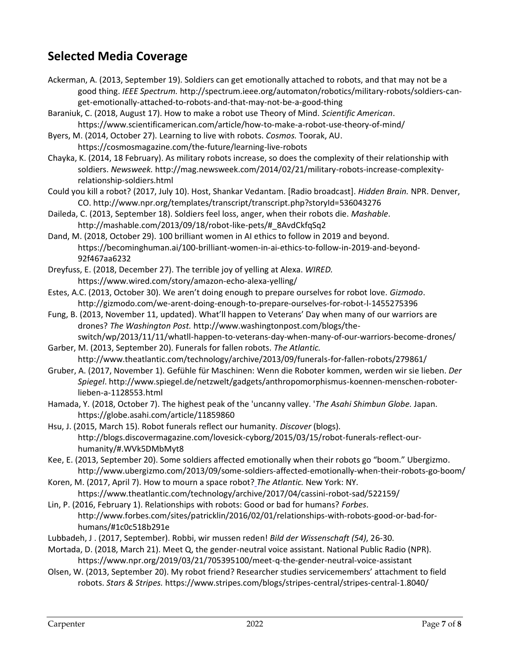## **Selected Media Coverage**

- Ackerman, A. (2013, September 19). Soldiers can get emotionally attached to robots, and that may not be a good thing. *IEEE Spectrum.* http://spectrum.ieee.org/automaton/robotics/military-robots/soldiers-canget-emotionally-attached-to-robots-and-that-may-not-be-a-good-thing
- Baraniuk, C. (2018, August 17). How to make a robot use Theory of Mind. *Scientific American*. https://www.scientificamerican.com/article/how-to-make-a-robot-use-theory-of-mind/
- Byers, M. (2014, October 27). Learning to live with robots. *Cosmos.* Toorak, AU. https://cosmosmagazine.com/the-future/learning-live-robots
- Chayka, K. (2014, 18 February). As military robots increase, so does the complexity of their relationship with soldiers. *Newsweek.* http://mag.newsweek.com/2014/02/21/military-robots-increase-complexityrelationship-soldiers.html
- Could you kill a robot? (2017, July 10). Host, Shankar Vedantam. [Radio broadcast]. *Hidden Brain.* NPR. Denver, CO. http://www.npr.org/templates/transcript/transcript.php?storyId=536043276
- Daileda, C. (2013, September 18). Soldiers feel loss, anger, when their robots die. *Mashable*. http://mashable.com/2013/09/18/robot-like-pets/#\_8AvdCkfqSq2
- Dand, M. (2018, October 29). 100 brilliant women in AI ethics to follow in 2019 and beyond. https://becominghuman.ai/100-brilliant-women-in-ai-ethics-to-follow-in-2019-and-beyond-92f467aa6232
- Dreyfuss, E. (2018, December 27). The terrible joy of yelling at Alexa. *WIRED.* https://www.wired.com/story/amazon-echo-alexa-yelling/
- Estes, A.C. (2013, October 30). We aren't doing enough to prepare ourselves for robot love. *Gizmodo*. http://gizmodo.com/we-arent-doing-enough-to-prepare-ourselves-for-robot-l-1455275396
- Fung, B. (2013, November 11, updated). What'll happen to Veterans' Day when many of our warriors are drones? *The Washington Post.* http://www.washingtonpost.com/blogs/theswitch/wp/2013/11/11/whatll-happen-to-veterans-day-when-many-of-our-warriors-become-drones/
- Garber, M. (2013, September 20). Funerals for fallen robots. *The Atlantic.*  http://www.theatlantic.com/technology/archive/2013/09/funerals-for-fallen-robots/279861/
- Gruber, A. (2017, November 1). Gefühle für Maschinen: Wenn die Roboter kommen, werden wir sie lieben. *Der Spiegel*. http://www.spiegel.de/netzwelt/gadgets/anthropomorphismus-koennen-menschen-roboterlieben-a-1128553.html
- Hamada, Y. (2018, October 7). The highest peak of the 'uncanny valley. '*The Asahi Shimbun Globe.* Japan. https://globe.asahi.com/article/11859860
- Hsu, J. (2015, March 15). Robot funerals reflect our humanity. *Discover* (blogs). http://blogs.discovermagazine.com/lovesick-cyborg/2015/03/15/robot-funerals-reflect-ourhumanity/#.WVk5DMbMyt8
- Kee, E. (2013, September 20). Some soldiers affected emotionally when their robots go "boom." Ubergizmo. http://www.ubergizmo.com/2013/09/some-soldiers-affected-emotionally-when-their-robots-go-boom/
- Koren, M. (2017, April 7). How to mourn a space robot? *The Atlantic.* New York: NY. https://www.theatlantic.com/technology/archive/2017/04/cassini-robot-sad/522159/
- Lin, P. (2016, February 1). Relationships with robots: Good or bad for humans? *Forbes*. http://www.forbes.com/sites/patricklin/2016/02/01/relationships-with-robots-good-or-bad-forhumans/#1c0c518b291e
- Lubbadeh, J . (2017, September). Robbi, wir mussen reden! *Bild der Wissenschaft (54)*, 26-30.
- Mortada, D. (2018, March 21). Meet Q, the gender-neutral voice assistant. National Public Radio (NPR). https://www.npr.org/2019/03/21/705395100/meet-q-the-gender-neutral-voice-assistant
- Olsen, W. (2013, September 20). My robot friend? Researcher studies servicemembers' attachment to field robots. *Stars & Stripes.* https://www.stripes.com/blogs/stripes-central/stripes-central-1.8040/